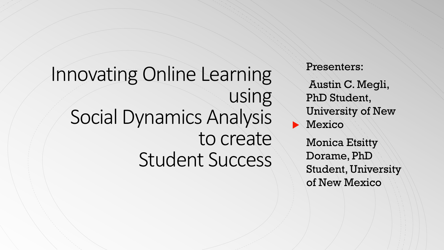# Innovating Online Learning using Social Dynamics Analysis to create Student Success

Presenters:

Austin C. Megli, PhD Student, University of New **Mexico** 

> Monica Etsitty Dorame, PhD Student, University of New Mexico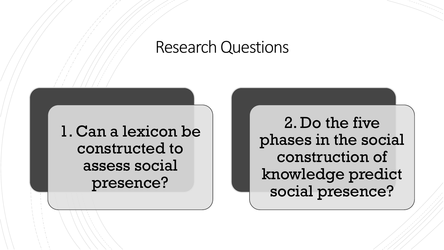#### Research Questions

1. Can a lexicon be constructed to assess social presence?

2. Do the five phases in the social construction of knowledge predict social presence?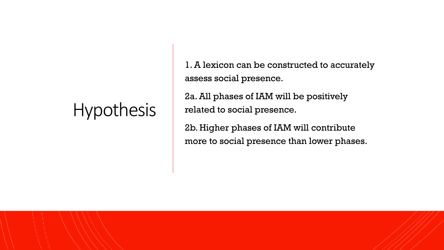# Hypothesis

1. A lexicon can be constructed to accurately assess social presence.

2a. All phases of IAM will be positively related to social presence.

2b. Higher phases of IAM will contribute more to social presence than lower phases.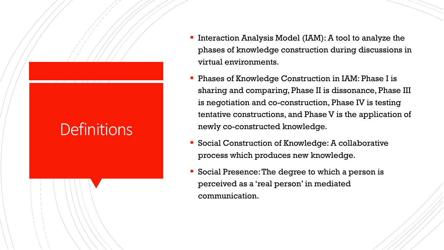## **Definitions**

- Interaction Analysis Model (IAM): A tool to analyze the phases of knowledge construction during discussions in virtual environments.
- Phases of Knowledge Construction in IAM: Phase I is sharing and comparing, Phase II is dissonance, Phase III is negotiation and co-construction, Phase IV is testing tentative constructions, and Phase V is the application of newly co-constructed knowledge.
- Social Construction of Knowledge: A collaborative process which produces new knowledge.
- Social Presence: The degree to which a person is perceived as a 'real person' in mediated communication.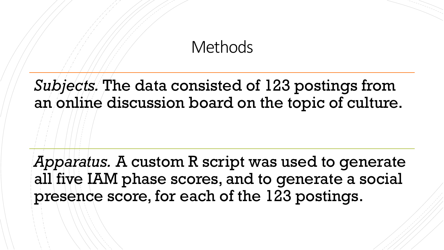#### **Methods**

*Subjects.* The data consisted of 123 postings from an online discussion board on the topic of culture.

*Apparatus.* A custom R script was used to generate all five IAM phase scores, and to generate a social presence score, for each of the 123 postings.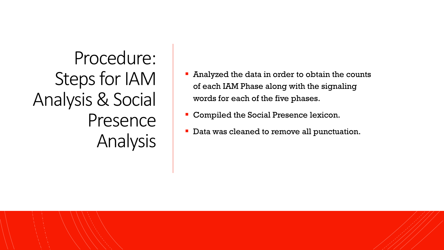Procedure: Steps for IAM Analysis & Social Presence Analysis

- Analyzed the data in order to obtain the counts of each IAM Phase along with the signaling words for each of the five phases.
- **Compiled the Social Presence lexicon.**
- **Data was cleaned to remove all punctuation.**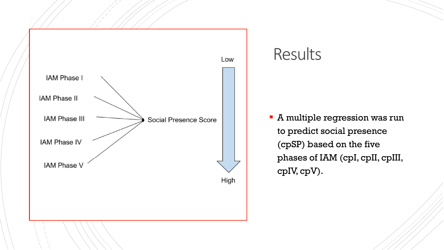

#### Results

 A multiple regression was run to predict social presence (cpSP) based on the five phases of IAM (cpI, cpII, cpIII, cpIV, cpV).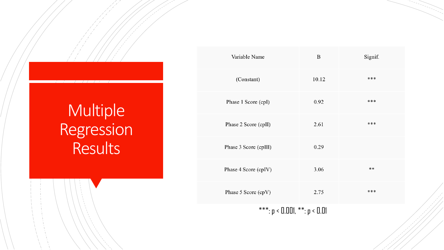# Multiple Regression Results

| Variable Name                     | B     | Signif. |
|-----------------------------------|-------|---------|
| (Constant)                        | 10.12 | ***     |
| Phase 1 Score (cpI)               | 0.92  | ***     |
| Phase 2 Score (cpII)              | 2.61  | ***     |
| Phase 3 Score (cpIII)             | 0.29  |         |
| Phase 4 Score (cpIV)              | 3.06  | **      |
| Phase 5 Score (cpV)               | 2.75  | ***     |
| ***: $p < 0.001$ , **: $p < 0.01$ |       |         |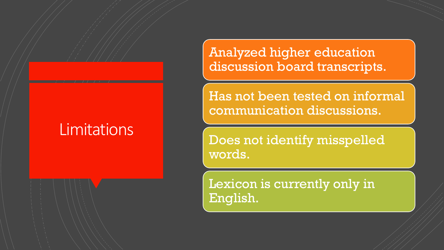## **Limitations**

Analyzed higher education discussion board transcripts.

Has not been tested on informal communication discussions.

Does not identify misspelled words.

Lexicon is currently only in English.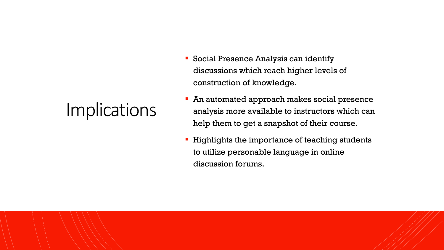# **Implications**

- **Social Presence Analysis can identify** discussions which reach higher levels of construction of knowledge.
- **An automated approach makes social presence** analysis more available to instructors which can help them to get a snapshot of their course.
- **Highlights the importance of teaching students** to utilize personable language in online discussion forums.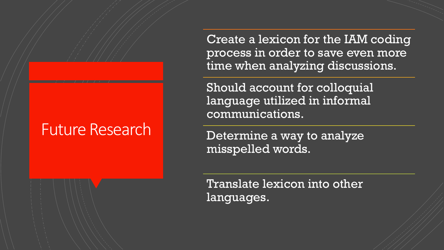### Future Research

Create a lexicon for the IAM coding process in order to save even more time when analyzing discussions.

Should account for colloquial language utilized in informal communications.

Determine a way to analyze misspelled words.

Translate lexicon into other languages.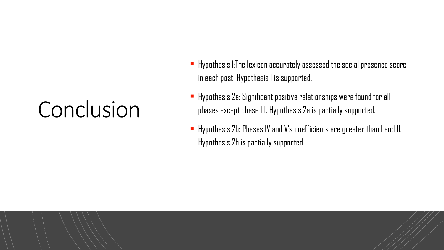# Conclusion

- $\blacksquare$  Hypothesis 1: The lexicon accurately assessed the social presence score in each post. Hypothesis 1 is supported.
- Hypothesis 2a: Significant positive relationships were found for all phases except phase III. Hypothesis 2a is partially supported.
- Hypothesis 2b: Phases IV and V's coefficients are greater than I and II. Hypothesis 2b is partially supported.